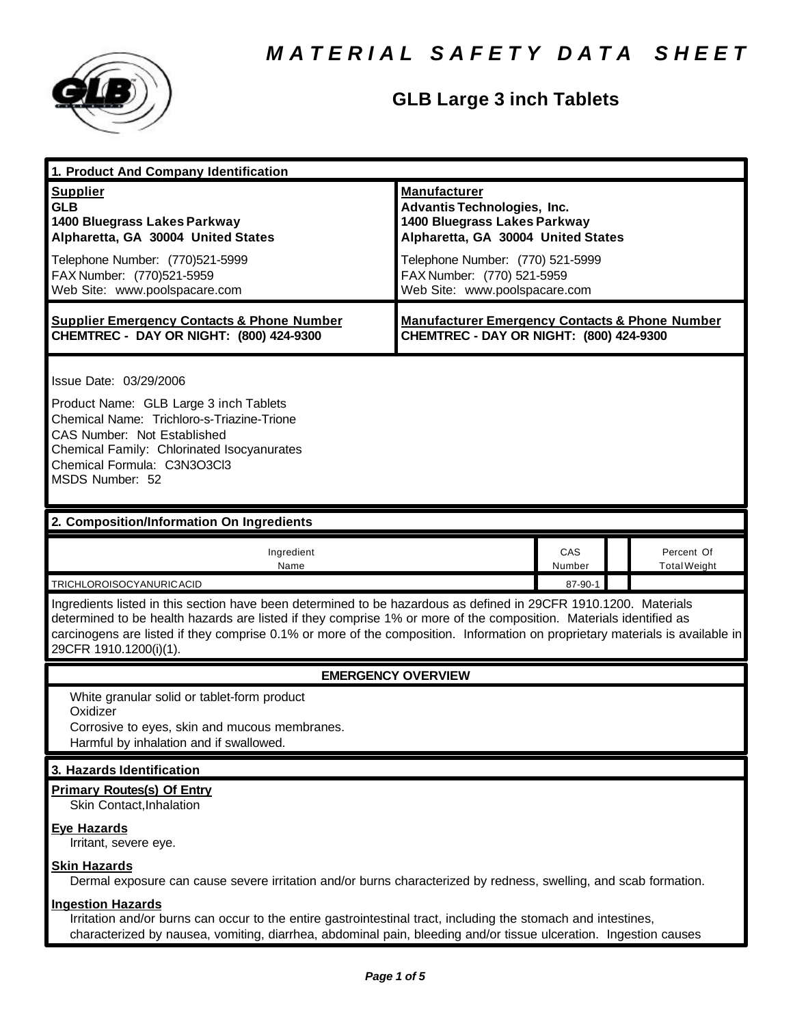

# **GLB Large 3 inch Tablets**

| 1. Product And Company Identification                                                                                                                                                                                                                                                                                                                                                             |                                                                                                                                                                                                                                    |               |  |                                   |  |
|---------------------------------------------------------------------------------------------------------------------------------------------------------------------------------------------------------------------------------------------------------------------------------------------------------------------------------------------------------------------------------------------------|------------------------------------------------------------------------------------------------------------------------------------------------------------------------------------------------------------------------------------|---------------|--|-----------------------------------|--|
| <b>Supplier</b><br><b>GLB</b><br>1400 Bluegrass Lakes Parkway<br>Alpharetta, GA 30004 United States<br>Telephone Number: (770)521-5999<br>FAX Number: (770)521-5959<br>Web Site: www.poolspacare.com                                                                                                                                                                                              | <b>Manufacturer</b><br><b>Advantis Technologies, Inc.</b><br>1400 Bluegrass Lakes Parkway<br>Alpharetta, GA 30004 United States<br>Telephone Number: (770) 521-5999<br>FAX Number: (770) 521-5959<br>Web Site: www.poolspacare.com |               |  |                                   |  |
| <b>Supplier Emergency Contacts &amp; Phone Number</b><br>CHEMTREC - DAY OR NIGHT: (800) 424-9300                                                                                                                                                                                                                                                                                                  | <b>Manufacturer Emergency Contacts &amp; Phone Number</b><br>CHEMTREC - DAY OR NIGHT: (800) 424-9300                                                                                                                               |               |  |                                   |  |
| Issue Date: 03/29/2006<br>Product Name: GLB Large 3 inch Tablets<br>Chemical Name: Trichloro-s-Triazine-Trione<br>CAS Number: Not Established<br>Chemical Family: Chlorinated Isocyanurates<br>Chemical Formula: C3N3O3Cl3<br>MSDS Number: 52                                                                                                                                                     |                                                                                                                                                                                                                                    |               |  |                                   |  |
| 2. Composition/Information On Ingredients                                                                                                                                                                                                                                                                                                                                                         |                                                                                                                                                                                                                                    |               |  |                                   |  |
| Ingredient<br>Name                                                                                                                                                                                                                                                                                                                                                                                |                                                                                                                                                                                                                                    | CAS<br>Number |  | Percent Of<br><b>Total Weight</b> |  |
| TRICHLOROISOCYANURICACID                                                                                                                                                                                                                                                                                                                                                                          |                                                                                                                                                                                                                                    | 87-90-1       |  |                                   |  |
| Ingredients listed in this section have been determined to be hazardous as defined in 29CFR 1910.1200. Materials<br>determined to be health hazards are listed if they comprise 1% or more of the composition. Materials identified as<br>carcinogens are listed if they comprise 0.1% or more of the composition. Information on proprietary materials is available in<br>29CFR 1910.1200(i)(1). |                                                                                                                                                                                                                                    |               |  |                                   |  |
| <b>EMERGENCY OVERVIEW</b>                                                                                                                                                                                                                                                                                                                                                                         |                                                                                                                                                                                                                                    |               |  |                                   |  |
| White granular solid or tablet-form product<br>Oxidizer<br>Corrosive to eyes, skin and mucous membranes.<br>Harmful by inhalation and if swallowed.                                                                                                                                                                                                                                               |                                                                                                                                                                                                                                    |               |  |                                   |  |
| 3. Hazards Identification                                                                                                                                                                                                                                                                                                                                                                         |                                                                                                                                                                                                                                    |               |  |                                   |  |
| <b>Primary Routes(s) Of Entry</b><br>Skin Contact, Inhalation                                                                                                                                                                                                                                                                                                                                     |                                                                                                                                                                                                                                    |               |  |                                   |  |
| <b>Eye Hazards</b><br>Irritant, severe eye.                                                                                                                                                                                                                                                                                                                                                       |                                                                                                                                                                                                                                    |               |  |                                   |  |
| <b>Skin Hazards</b><br>Dermal exposure can cause severe irritation and/or burns characterized by redness, swelling, and scab formation.                                                                                                                                                                                                                                                           |                                                                                                                                                                                                                                    |               |  |                                   |  |
| <b>Ingestion Hazards</b><br>Irritation and/or burns can occur to the entire gastrointestinal tract, including the stomach and intestines,<br>characterized by nausea, vomiting, diarrhea, abdominal pain, bleeding and/or tissue ulceration. Ingestion causes                                                                                                                                     |                                                                                                                                                                                                                                    |               |  |                                   |  |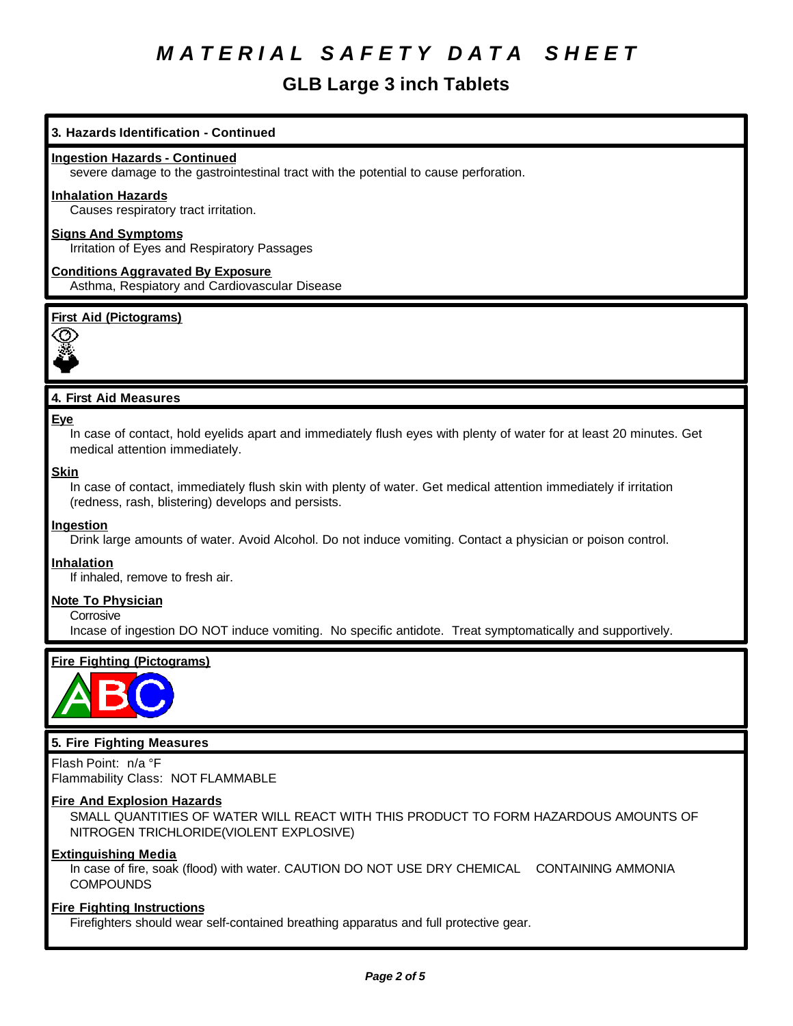# **GLB Large 3 inch Tablets**

# **3. Hazards Identification - Continued**

#### **Ingestion Hazards - Continued**

severe damage to the gastrointestinal tract with the potential to cause perforation.

#### **Inhalation Hazards**

Causes respiratory tract irritation.

## **Signs And Symptoms**

Irritation of Eyes and Respiratory Passages

### **Conditions Aggravated By Exposure** Asthma, Respiatory and Cardiovascular Disease

### **First Aid (Pictograms)**



# **4. First Aid Measures**

#### **Eye**

In case of contact, hold eyelids apart and immediately flush eyes with plenty of water for at least 20 minutes. Get medical attention immediately.

#### **Skin**

In case of contact, immediately flush skin with plenty of water. Get medical attention immediately if irritation (redness, rash, blistering) develops and persists.

#### **Ingestion**

Drink large amounts of water. Avoid Alcohol. Do not induce vomiting. Contact a physician or poison control.

#### **Inhalation**

If inhaled, remove to fresh air.

#### **Note To Physician**

**Corrosive** 

Incase of ingestion DO NOT induce vomiting. No specific antidote. Treat symptomatically and supportively.

# **Fire Fighting (Pictograms)**



### **5. Fire Fighting Measures**

Flash Point: n/a °F Flammability Class: NOT FLAMMABLE

#### **Fire And Explosion Hazards**

SMALL QUANTITIES OF WATER WILL REACT WITH THIS PRODUCT TO FORM HAZARDOUS AMOUNTS OF NITROGEN TRICHLORIDE(VIOLENT EXPLOSIVE)

### **Extinguishing Media**

In case of fire, soak (flood) with water. CAUTION DO NOT USE DRY CHEMICAL CONTAINING AMMONIA **COMPOUNDS** 

#### **Fire Fighting Instructions**

Firefighters should wear self-contained breathing apparatus and full protective gear.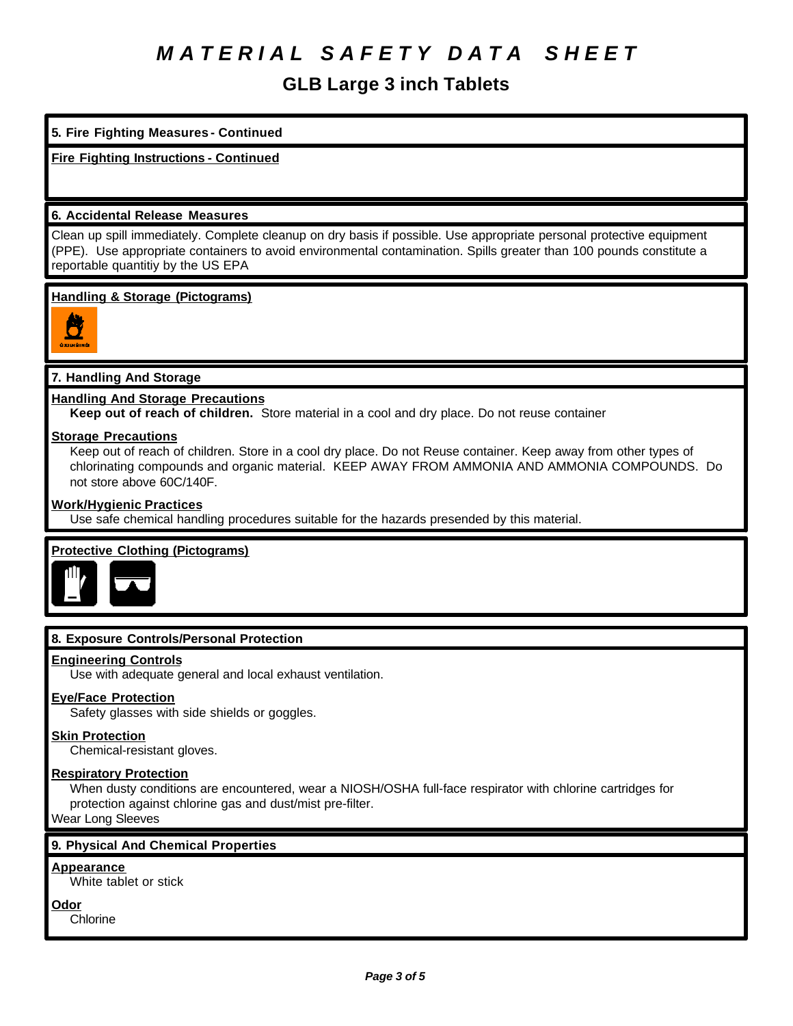# **GLB Large 3 inch Tablets**

# **5. Fire Fighting Measures - Continued**

# **Fire Fighting Instructions - Continued**

## **6. Accidental Release Measures**

Clean up spill immediately. Complete cleanup on dry basis if possible. Use appropriate personal protective equipment (PPE). Use appropriate containers to avoid environmental contamination. Spills greater than 100 pounds constitute a reportable quantitiy by the US EPA

### **Handling & Storage (Pictograms)**



# **7. Handling And Storage**

### **Handling And Storage Precautions**

**Keep out of reach of children.** Store material in a cool and dry place. Do not reuse container

#### **Storage Precautions**

Keep out of reach of children. Store in a cool dry place. Do not Reuse container. Keep away from other types of chlorinating compounds and organic material. KEEP AWAY FROM AMMONIA AND AMMONIA COMPOUNDS. Do not store above 60C/140F.

#### **Work/Hygienic Practices**

Use safe chemical handling procedures suitable for the hazards presended by this material.

# **Protective Clothing (Pictograms)**



# **8. Exposure Controls/Personal Protection**

#### **Engineering Controls**

Use with adequate general and local exhaust ventilation.

# **Eye/Face Protection**

Safety glasses with side shields or goggles.

#### **Skin Protection**

Chemical-resistant gloves.

#### **Respiratory Protection**

When dusty conditions are encountered, wear a NIOSH/OSHA full-face respirator with chlorine cartridges for protection against chlorine gas and dust/mist pre-filter.

Wear Long Sleeves

# **9. Physical And Chemical Properties**

#### **Appearance**

White tablet or stick

**Odor**

Chlorine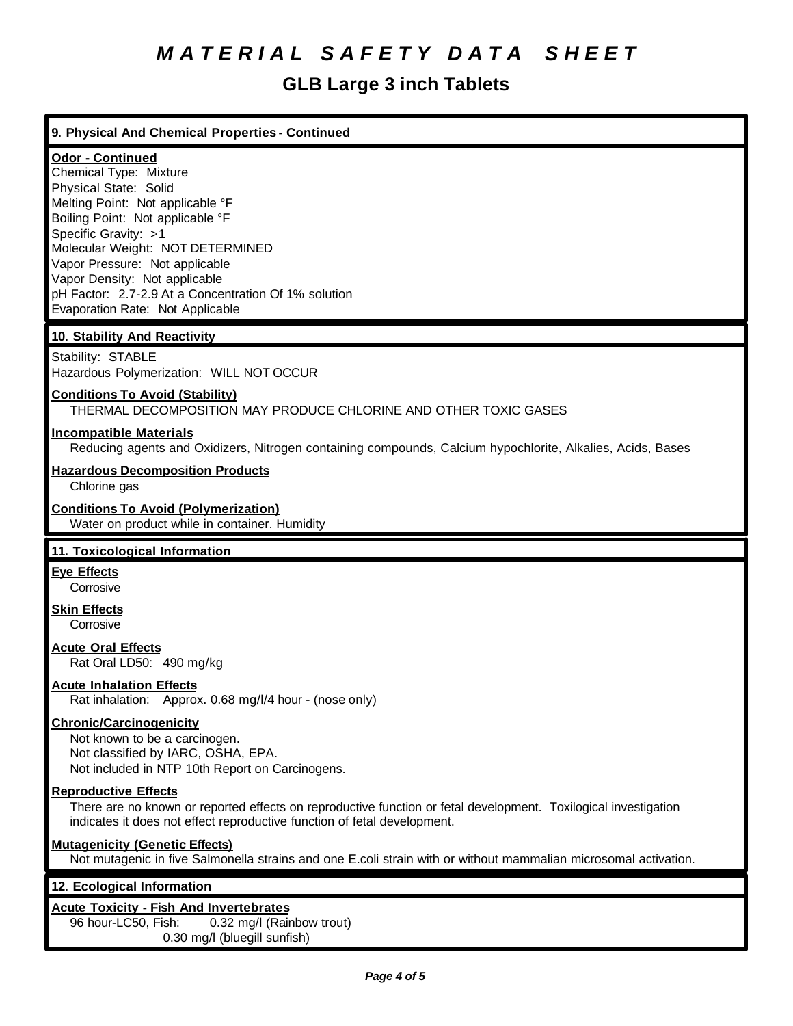# **GLB Large 3 inch Tablets**

# **9. Physical And Chemical Properties - Continued**

# **Odor - Continued**

Chemical Type: Mixture Physical State: Solid Melting Point: Not applicable °F Boiling Point: Not applicable °F Specific Gravity: >1 Molecular Weight: NOT DETERMINED Vapor Pressure: Not applicable Vapor Density: Not applicable pH Factor: 2.7-2.9 At a Concentration Of 1% solution Evaporation Rate: Not Applicable

# **10. Stability And Reactivity**

Stability: STABLE Hazardous Polymerization: WILL NOT OCCUR

# **Conditions To Avoid (Stability)**

THERMAL DECOMPOSITION MAY PRODUCE CHLORINE AND OTHER TOXIC GASES

### **Incompatible Materials**

Reducing agents and Oxidizers, Nitrogen containing compounds, Calcium hypochlorite, Alkalies, Acids, Bases

### **Hazardous Decomposition Products**

Chlorine gas

#### **Conditions To Avoid (Polymerization)**

Water on product while in container. Humidity

# **11. Toxicological Information**

# **Eye Effects**

**Corrosive** 

#### **Skin Effects Corrosive**

**Acute Oral Effects**

Rat Oral LD50: 490 mg/kg

# **Acute Inhalation Effects**

Rat inhalation: Approx. 0.68 mg/l/4 hour - (nose only)

# **Chronic/Carcinogenicity**

Not known to be a carcinogen. Not classified by IARC, OSHA, EPA. Not included in NTP 10th Report on Carcinogens.

#### **Reproductive Effects**

There are no known or reported effects on reproductive function or fetal development. Toxilogical investigation indicates it does not effect reproductive function of fetal development.

# **Mutagenicity (Genetic Effects)**

Not mutagenic in five Salmonella strains and one E.coli strain with or without mammalian microsomal activation.

# **12. Ecological Information**

#### **Acute Toxicity - Fish And Invertebrates**

96 hour-LC50, Fish: 0.32 mg/l (Rainbow trout) 0.30 mg/l (bluegill sunfish)